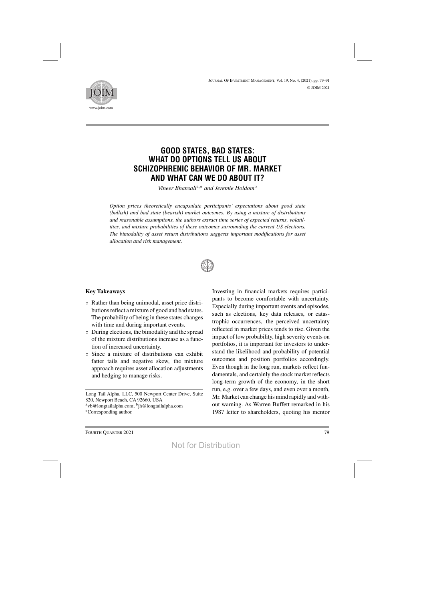

# **GOOD STATES, BAD STATES: WHAT DO OPTIONS TELL US ABOUT SCHIZOPHRENIC BEHAVIOR OF MR. MARKET AND WHAT CAN WE DO ABOUT IT?**

*Vineer Bhansali*a,<sup>∗</sup> *and Jeremie Holdom*<sup>b</sup>

*Option prices theoretically encapsulate participants' expectations about good state (bullish) and bad state (bearish) market outcomes. By using a mixture of distributions and reasonable assumptions, the authors extract time series of expected returns, volatilities, and mixture probabilities of these outcomes surrounding the current US elections. The bimodality of asset return distributions suggests important modifications for asset allocation and risk management.*



## **Key Takeaways**

- Rather than being unimodal, asset price distributions reflect a mixture of good and bad states. The probability of being in these states changes with time and during important events.
- During elections, the bimodality and the spread of the mixture distributions increase as a function of increased uncertainty.
- Since a mixture of distributions can exhibit fatter tails and negative skew, the mixture approach requires asset allocation adjustments and hedging to manage risks.

Long Tail Alpha, LLC, 500 Newport Center Drive, Suite 820, Newport Beach, CA 92660, USA

 $a$ vb@longtailalpha.com;  $b$ jh@longtailalpha.com

∗Corresponding author.

Investing in financial markets requires participants to become comfortable with uncertainty. Especially during important events and episodes, such as elections, key data releases, or catastrophic occurrences, the perceived uncertainty reflected in market prices tends to rise. Given the impact of low probability, high severity events on portfolios, it is important for investors to understand the likelihood and probability of potential outcomes and position portfolios accordingly. Even though in the long run, markets reflect fundamentals, and certainly the stock market reflects long-term growth of the economy, in the short run, e.g. over a few days, and even over a month, Mr. Market can change his mind rapidly and without warning. As Warren Buffett remarked in his 1987 letter to shareholders, quoting his mentor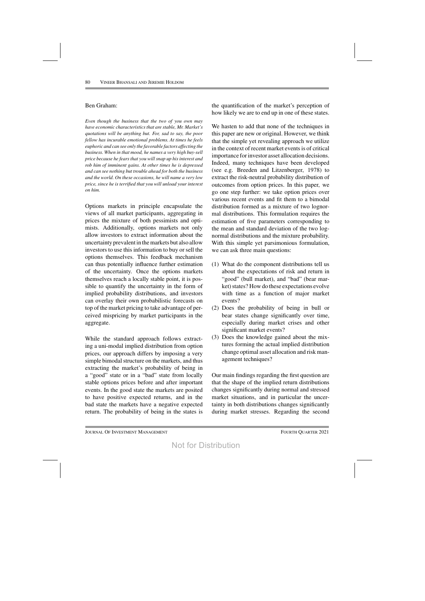### Ben Graham:

*Even though the business that the two of you own may have economic characteristicsthat are stable, Mr. Market's quotations will be anything but. For, sad to say, the poor fellow has incurable emotional problems. At times he feels euphoric and can see only the favorable factors affecting the business. When in that mood, he names a very high buy-sell price because he fears that you will snap up his interest and rob him of imminent gains. At other times he is depressed and can see nothing but trouble ahead for both the business and the world. On these occasions, he will name a very low price, since he is terrified that you will unload your interest on him.*

Options markets in principle encapsulate the views of all market participants, aggregating in prices the mixture of both pessimists and optimists. Additionally, options markets not only allow investors to extract information about the uncertainty prevalent in themarkets but also allow investors to use this information to buy or sell the options themselves. This feedback mechanism can thus potentially influence further estimation of the uncertainty. Once the options markets themselves reach a locally stable point, it is possible to quantify the uncertainty in the form of implied probability distributions, and investors can overlay their own probabilistic forecasts on top of the market pricing to take advantage of perceived mispricing by market participants in the aggregate.

While the standard approach follows extracting a uni-modal implied distribution from option prices, our approach differs by imposing a very simple bimodal structure on the markets, and thus extracting the market's probability of being in a "good" state or in a "bad" state from locally stable options prices before and after important events. In the good state the markets are posited to have positive expected returns, and in the bad state the markets have a negative expected return. The probability of being in the states is

the quantification of the market's perception of how likely we are to end up in one of these states.

We hasten to add that none of the techniques in this paper are new or original. However, we think that the simple yet revealing approach we utilize in the context of recent market events is of critical importance for investor asset allocation decisions. Indeed, many techniques have been developed (see e.g. Breeden and Litzenberger, 1978) to extract the risk-neutral probability distribution of outcomes from option prices. In this paper, we go one step further: we take option prices over various recent events and fit them to a bimodal distribution formed as a mixture of two lognormal distributions. This formulation requires the estimation of five parameters corresponding to the mean and standard deviation of the two lognormal distributions and the mixture probability. With this simple yet parsimonious formulation, we can ask three main questions:

- (1) What do the component distributions tell us about the expectations of risk and return in "good" (bull market), and "bad" (bear market) states? How do these expectations evolve with time as a function of major market events?
- (2) Does the probability of being in bull or bear states change significantly over time, especially during market crises and other significant market events?
- (3) Does the knowledge gained about the mixtures forming the actual implied distribution change optimal asset allocation and risk management techniques?

Our main findings regarding the first question are that the shape of the implied return distributions changes significantly during normal and stressed market situations, and in particular the uncertainty in both distributions changes significantly during market stresses. Regarding the second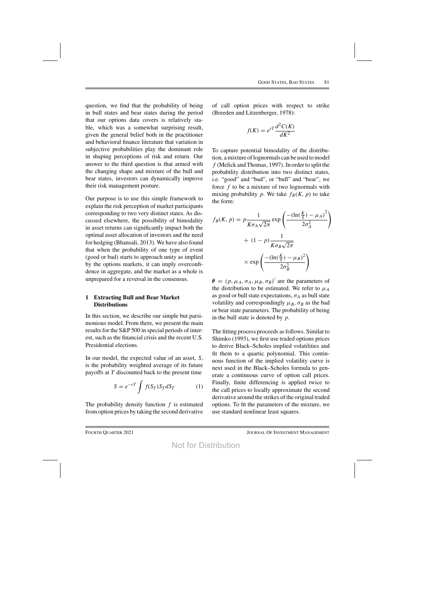question, we find that the probability of being in bull states and bear states during the period that our options data covers is relatively stable, which was a somewhat surprising result, given the general belief both in the practitioner and behavioral finance literature that variation in subjective probabilities play the dominant role in shaping perceptions of risk and return. Our answer to the third question is that armed with the changing shape and mixture of the bull and bear states, investors can dynamically improve their risk management posture.

Our purpose is to use this simple framework to explain the risk perception of market participants corresponding to two very distinct states. As discussed elsewhere, the possibility of bimodality in asset returns can significantly impact both the optimal asset allocation of investors and the need for hedging (Bhansali, 2013). We have also found that when the probability of one type of event (good or bad) starts to approach unity as implied by the options markets, it can imply overconfidence in aggregate, and the market as a whole is unprepared for a reversal in the consensus.

### **1 Extracting Bull and Bear Market Distributions**

In this section, we describe our simple but parsimonious model. From there, we present the main results for the S&P 500 in special periods of interest, such as the financial crisis and the recent U.S. Presidential elections.

In our model, the expected value of an asset, S, is the probability weighted average of its future payoffs at  $T$  discounted back to the present time

$$
S = e^{-rT} \int f(S_T) S_T dS_T \tag{1}
$$

The probability density function  $f$  is estimated from option prices by taking the second derivative of call option prices with respect to strike (Breeden and Litzenberger, 1978):

$$
f(K) = e^{rT} \frac{d^2 C(K)}{dK^2}
$$

To capture potential bimodality of the distribution, a mixture of lognormals can be used to model  $f$  (Melick and Thomas, 1997). In order to split the probability distribution into two distinct states, i.e. "good" and "bad", or "bull" and "bear", we force  $f$  to be a mixture of two lognormals with mixing probability p. We take  $f_B(K, p)$  to take the form:

$$
f_B(K, p) = p \frac{1}{K\sigma_A \sqrt{2\pi}} \exp\left(\frac{-(\ln(\frac{K}{S}) - \mu_A)^2}{2\sigma_A^2}\right)
$$

$$
+ (1 - p) \frac{1}{K\sigma_B \sqrt{2\pi}}
$$

$$
\times \exp\left(\frac{-(\ln(\frac{K}{S}) - \mu_B)^2}{2\sigma_B^2}\right)
$$

 $\theta = (p, \mu_A, \sigma_A, \mu_B, \sigma_B)'$  are the parameters of the distribution to be estimated. We refer to  $\mu_A$ as good or bull state expectations,  $\sigma_A$  as bull state volatility and correspondingly  $\mu_B$ ,  $\sigma_B$  as the bad or bear state parameters. The probability of being in the bull state is denoted by  $p$ .

The fitting process proceeds asfollows. Similar to Shimko (1993), we first use traded options prices to derive Black–Scholes implied volatilities and fit them to a quartic polynomial. This continuous function of the implied volatility curve is next used in the Black–Scholes formula to generate a continuous curve of option call prices. Finally, finite differencing is applied twice to the call prices to locally approximate the second derivative around the strikes of the original traded options. To fit the parameters of the mixture, we use standard nonlinear least squares.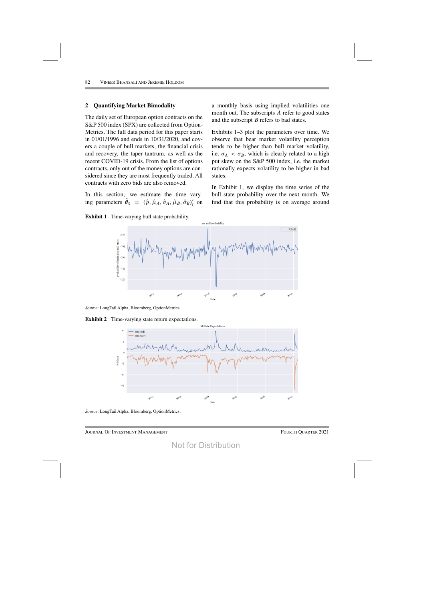## **2 Quantifying Market Bimodality**

The daily set of European option contracts on the S&P 500 index (SPX) are collected from Option-Metrics. The full data period for this paper starts in 01/01/1996 and ends in 10/31/2020, and covers a couple of bull markets, the financial crisis and recovery, the taper tantrum, as well as the recent COVID-19 crisis. From the list of options contracts, only out of the money options are considered since they are most frequently traded. All contracts with zero bids are also removed.

In this section, we estimate the time varying parameters  $\hat{\theta}_t = (\hat{p}, \hat{\mu}_A, \hat{\sigma}_A, \hat{\mu}_B, \hat{\sigma}_B)'_t$  on

a monthly basis using implied volatilities one month out. The subscripts A refer to good states and the subscript B refers to bad states.

Exhibits 1–3 plot the parameters over time. We observe that bear market volatility perception tends to be higher than bull market volatility, i.e.  $\sigma_A < \sigma_B$ , which is clearly related to a high put skew on the S&P 500 index, i.e. the market rationally expects volatility to be higher in bad states.

In Exhibit 1, we display the time series of the bull state probability over the next month. We find that this probability is on average around



*Source*: LongTail Alpha, Bloomberg, OptionMetrics.





*Source*: LongTail Alpha, Bloomberg, OptionMetrics.

Journal Of Investment Management Fourth Quarter 2021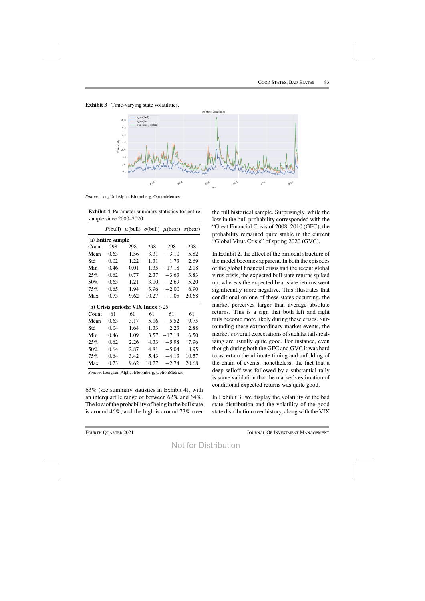**Exhibit 3** Time-varying state volatilities.



*Source*: LongTail Alpha, Bloomberg, OptionMetrics.

**Exhibit 4** Parameter summary statistics for entire sample since 2000–2020.

|       |                   |                                     |       | P(bull) $\mu$ (bull) $\sigma$ (bull) $\mu$ (bear) $\sigma$ (bear) |       |  |  |
|-------|-------------------|-------------------------------------|-------|-------------------------------------------------------------------|-------|--|--|
|       | (a) Entire sample |                                     |       |                                                                   |       |  |  |
| Count | 298               | 298                                 | 298   | 298                                                               | 298   |  |  |
| Mean  | 0.63              | 1.56                                | 3.31  | $-3.10$                                                           | 5.82  |  |  |
| Std   | 0.02              | 1.22                                | 1.31  | 1.73                                                              | 2.69  |  |  |
| Min   | 0.46              | $-0.01$                             | 1.35  | $-17.18$                                                          | 2.18  |  |  |
| 25%   | 0.62              | 0.77                                | 2.37  | $-3.63$                                                           | 3.83  |  |  |
| 50%   | 0.63              | 1.21                                | 3.10  | $-2.69$                                                           | 5.20  |  |  |
| 75%   | 0.65              | 1.94                                | 3.96  | $-2.00$                                                           | 6.90  |  |  |
| Max   | 0.73              | 9.62                                | 10.27 | $-1.05$                                                           | 20.68 |  |  |
|       |                   | (b) Crisis periods: VIX Index $>25$ |       |                                                                   |       |  |  |
| Count | 61                | 61                                  | 61    | 61                                                                | 61    |  |  |
| Mean  | 0.63              | 3.17                                | 5.16  | $-5.52$                                                           | 9.75  |  |  |
| Std   | 0.04              | 1.64                                | 1.33  | 2.23                                                              | 2.88  |  |  |
| Min   | 0.46              | 1.09                                | 3.57  | $-17.18$                                                          | 6.50  |  |  |
| 25%   | 0.62              | 2.26                                | 4.33  | $-5.98$                                                           | 7.96  |  |  |
| 50%   | 0.64              | 2.87                                | 4.81  | $-5.04$                                                           | 8.95  |  |  |
| 75%   | 0.64              | 3.42                                | 5.43  | $-4.13$                                                           | 10.57 |  |  |
| Max   | 0.73              | 9.62                                | 10.27 | $-2.74$                                                           | 20.68 |  |  |

*Source*: LongTail Alpha, Bloomberg, OptionMetrics.

63% (see summary statistics in Exhibit 4), with an interquartile range of between 62% and 64%. The low of the probability of being in the bull state is around 46%, and the high is around 73% over the full historical sample. Surprisingly, while the low in the bull probability corresponded with the "Great Financial Crisis of 2008–2010 (GFC), the probability remained quite stable in the current "Global Virus Crisis" of spring 2020 (GVC).

In Exhibit 2, the effect of the bimodal structure of the model becomes apparent. In both the episodes of the global financial crisis and the recent global virus crisis, the expected bull state returns spiked up, whereas the expected bear state returns went significantly more negative. This illustrates that conditional on one of these states occurring, the market perceives larger than average absolute returns. This is a sign that both left and right tails become more likely during these crises. Surrounding these extraordinary market events, the market's overall expectations of such fat tails realizing are usually quite good. For instance, even though during both the GFC and GVC it was hard to ascertain the ultimate timing and unfolding of the chain of events, nonetheless, the fact that a deep selloff was followed by a substantial rally is some validation that the market's estimation of conditional expected returns was quite good.

In Exhibit 3, we display the volatility of the bad state distribution and the volatility of the good state distribution over history, along with the VIX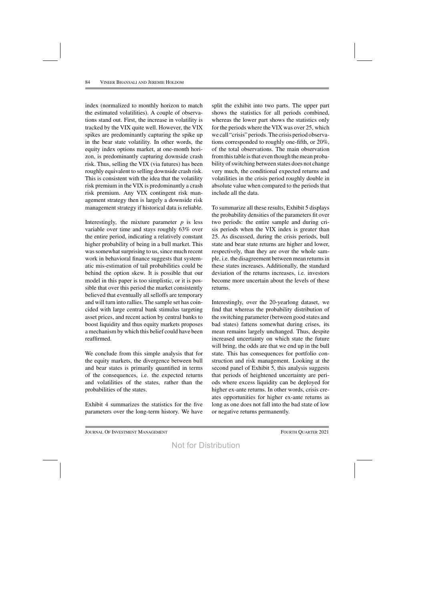index (normalized to monthly horizon to match the estimated volatilities). A couple of observations stand out. First, the increase in volatility is tracked by the VIX quite well. However, the VIX spikes are predominantly capturing the spike up in the bear state volatility. In other words, the equity index options market, at one-month horizon, is predominantly capturing downside crash risk. Thus, selling the VIX (via futures) has been roughly equivalent to selling downside crash risk. This is consistent with the idea that the volatility risk premium in the VIX is predominantly a crash risk premium. Any VIX contingent risk management strategy then is largely a downside risk management strategy if historical data is reliable.

Interestingly, the mixture parameter  $p$  is less variable over time and stays roughly 63% over the entire period, indicating a relatively constant higher probability of being in a bull market. This was somewhat surprising to us, since much recent work in behavioral finance suggests that systematic mis-estimation of tail probabilities could be behind the option skew. It is possible that our model in this paper is too simplistic, or it is possible that over this period the market consistently believed that eventually all selloffs are temporary and will turn into rallies. The sample set has coincided with large central bank stimulus targeting asset prices, and recent action by central banks to boost liquidity and thus equity markets proposes a mechanism by which this belief could have been reaffirmed.

We conclude from this simple analysis that for the equity markets, the divergence between bull and bear states is primarily quantified in terms of the consequences, i.e. the expected returns and volatilities of the states, rather than the probabilities of the states.

Exhibit 4 summarizes the statistics for the five parameters over the long-term history. We have

split the exhibit into two parts. The upper part shows the statistics for all periods combined, whereas the lower part shows the statistics only for the periods where the VIX was over 25, which we call "crisis" periods. The crisis period observations corresponded to roughly one-fifth, or 20%, of the total observations. The main observation from this table is that even though the mean probability of switching between states does not change very much, the conditional expected returns and volatilities in the crisis period roughly double in absolute value when compared to the periods that include all the data.

To summarize all these results, Exhibit 5 displays the probability densities of the parameters fit over two periods: the entire sample and during crisis periods when the VIX index is greater than 25. As discussed, during the crisis periods, bull state and bear state returns are higher and lower, respectively, than they are over the whole sample, i.e. the disagreement between mean returns in these states increases. Additionally, the standard deviation of the returns increases, i.e. investors become more uncertain about the levels of these returns.

Interestingly, over the 20-yearlong dataset, we find that whereas the probability distribution of the switching parameter (between good states and bad states) fattens somewhat during crises, its mean remains largely unchanged. Thus, despite increased uncertainty on which state the future will bring, the odds are that we end up in the bull state. This has consequences for portfolio construction and risk management. Looking at the second panel of Exhibit 5, this analysis suggests that periods of heightened uncertainty are periods where excess liquidity can be deployed for higher ex-ante returns. In other words, crisis creates opportunities for higher ex-ante returns as long as one does not fall into the bad state of low or negative returns permanently.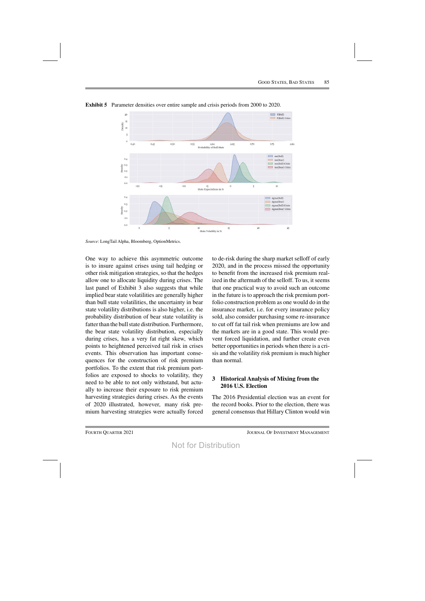

**Exhibit 5** Parameter densities over entire sample and crisis periods from 2000 to 2020.

*Source*: LongTail Alpha, Bloomberg, OptionMetrics.

One way to achieve this asymmetric outcome is to insure against crises using tail hedging or other risk mitigation strategies, so that the hedges allow one to allocate liquidity during crises. The last panel of Exhibit 3 also suggests that while implied bear state volatilities are generally higher than bull state volatilities, the uncertainty in bear state volatility distributions is also higher, i.e. the probability distribution of bear state volatility is fatter than the bull state distribution. Furthermore, the bear state volatility distribution, especially during crises, has a very fat right skew, which points to heightened perceived tail risk in crises events. This observation has important consequences for the construction of risk premium portfolios. To the extent that risk premium portfolios are exposed to shocks to volatility, they need to be able to not only withstand, but actually to increase their exposure to risk premium harvesting strategies during crises. As the events of 2020 illustrated, however, many risk premium harvesting strategies were actually forced to de-risk during the sharp market selloff of early 2020, and in the process missed the opportunity to benefit from the increased risk premium realized in the aftermath of the selloff. To us, it seems that one practical way to avoid such an outcome in the future is to approach the risk premium portfolio construction problem as one would do in the insurance market, i.e. for every insurance policy sold, also consider purchasing some re-insurance to cut off fat tail risk when premiums are low and the markets are in a good state. This would prevent forced liquidation, and further create even better opportunities in periods when there is a crisis and the volatility risk premium is much higher than normal.

## **3 Historical Analysis of Mixing from the 2016 U.S. Election**

The 2016 Presidential election was an event for the record books. Prior to the election, there was general consensus that Hillary Clinton would win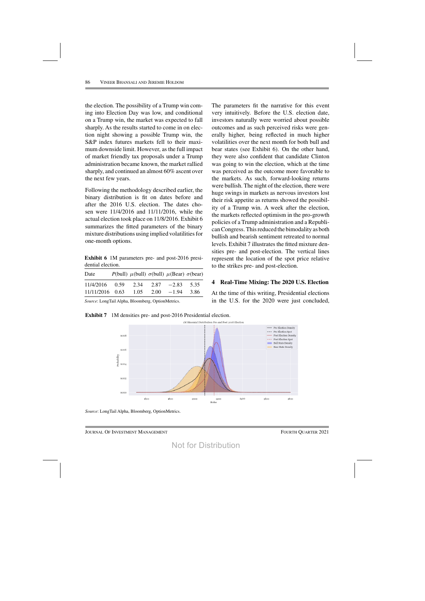the election. The possibility of a Trump win coming into Election Day was low, and conditional on a Trump win, the market was expected to fall sharply. As the results started to come in on election night showing a possible Trump win, the S&P index futures markets fell to their maximum downside limit. However, as the full impact of market friendly tax proposals under a Trump administration became known, the market rallied sharply, and continued an almost 60% ascent over the next few years.

Following the methodology described earlier, the binary distribution is fit on dates before and after the 2016 U.S. election. The dates chosen were 11/4/2016 and 11/11/2016, while the actual election took place on 11/8/2016. Exhibit 6 summarizes the fitted parameters of the binary mixture distributions using implied volatilities for one-month options.

**Exhibit 6** 1M parameters pre- and post-2016 presidential election.

| Date            |      |      | P(bull) $\mu$ (bull) $\sigma$ (bull) $\mu$ (Bear) $\sigma$ (bear) |      |
|-----------------|------|------|-------------------------------------------------------------------|------|
| 11/4/2016 0.59  | 2.34 | 2.87 | $-2.83$                                                           | 5.35 |
| 11/11/2016 0.63 | 1.05 |      | $2.00 -1.94$                                                      | 3.86 |

*Source*: LongTail Alpha, Bloomberg, OptionMetrics.

**Exhibit 7** 1M densities pre- and post-2016 Presidential election.

The parameters fit the narrative for this event very intuitively. Before the U.S. election date, investors naturally were worried about possible outcomes and as such perceived risks were generally higher, being reflected in much higher volatilities over the next month for both bull and bear states (see Exhibit 6). On the other hand, they were also confident that candidate Clinton was going to win the election, which at the time was perceived as the outcome more favorable to the markets. As such, forward-looking returns were bullish. The night of the election, there were huge swings in markets as nervous investors lost their risk appetite as returns showed the possibility of a Trump win. A week after the election, the markets reflected optimism in the pro-growth policies of a Trump administration and a RepublicanCongress. Thisreduced the bimodality as both bullish and bearish sentiment retreated to normal levels. Exhibit 7 illustrates the fitted mixture densities pre- and post-election. The vertical lines represent the location of the spot price relative to the strikes pre- and post-election.

### **4 Real-Time Mixing: The 2020 U.S. Election**

At the time of this writing, Presidential elections in the U.S. for the 2020 were just concluded,



*Source*: LongTail Alpha, Bloomberg, OptionMetrics.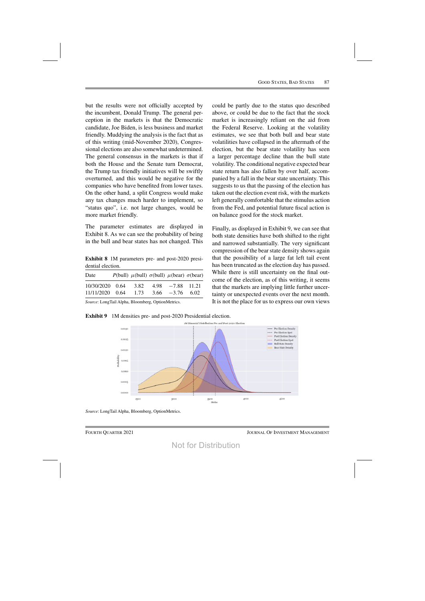but the results were not officially accepted by the incumbent, Donald Trump. The general perception in the markets is that the Democratic candidate, Joe Biden, is less business and market friendly. Muddying the analysis is the fact that as of this writing (mid-November 2020), Congressional elections are also somewhat undetermined. The general consensus in the markets is that if both the House and the Senate turn Democrat, the Trump tax friendly initiatives will be swiftly overturned, and this would be negative for the companies who have benefited from lower taxes. On the other hand, a split Congress would make any tax changes much harder to implement, so "status quo", i.e. not large changes, would be more market friendly.

The parameter estimates are displayed in Exhibit 8. As we can see the probability of being in the bull and bear states has not changed. This

**Exhibit 8** 1M parameters pre- and post-2020 presidential election.

| Date            |      | P(bull) $\mu$ (bull) $\sigma$ (bull) $\mu$ (bear) $\sigma$ (bear) |  |
|-----------------|------|-------------------------------------------------------------------|--|
| 10/30/2020 0.64 | 3.82 | $4.98 - 7.88$ 11.21                                               |  |
| 11/11/2020 0.64 | 1.73 | $3.66 -3.76 6.02$                                                 |  |

*Source*: LongTail Alpha, Bloomberg, OptionMetrics.

**Exhibit 9** 1M densities pre- and post-2020 Presidential election.



*Source*: LongTail Alpha, Bloomberg, OptionMetrics.

above, or could be due to the fact that the stock market is increasingly reliant on the aid from the Federal Reserve. Looking at the volatility estimates, we see that both bull and bear state volatilities have collapsed in the aftermath of the election, but the bear state volatility has seen a larger percentage decline than the bull state volatility. The conditional negative expected bear state return has also fallen by over half, accompanied by a fall in the bear state uncertainty. This suggests to us that the passing of the election has taken out the election event risk, with the markets left generally comfortable that the stimulus action from the Fed, and potential future fiscal action is on balance good for the stock market.

could be partly due to the status quo described

Finally, as displayed in Exhibit 9, we can see that both state densities have both shifted to the right and narrowed substantially. The very significant compression of the bear state density shows again that the possibility of a large fat left tail event has been truncated as the election day has passed. While there is still uncertainty on the final outcome of the election, as of this writing, it seems that the markets are implying little further uncertainty or unexpected events over the next month. It is not the place for us to express our own views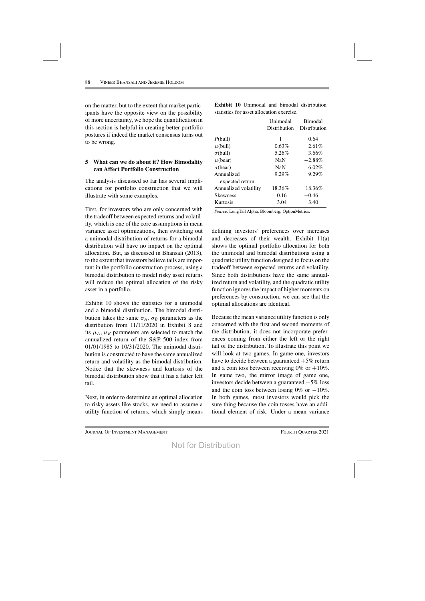on the matter, but to the extent that market participants have the opposite view on the possibility of more uncertainty, we hope the quantification in this section is helpful in creating better portfolio postures if indeed the market consensus turns out to be wrong.

## **5 What can we do about it? How Bimodality can Affect Portfolio Construction**

The analysis discussed so far has several implications for portfolio construction that we will illustrate with some examples.

First, for investors who are only concerned with the tradeoff between expected returns and volatility, which is one of the core assumptions in mean variance asset optimizations, then switching out a unimodal distribution of returns for a bimodal distribution will have no impact on the optimal allocation. But, as discussed in Bhansali (2013), to the extent that investors believe tails are important in the portfolio construction process, using a bimodal distribution to model risky asset returns will reduce the optimal allocation of the risky asset in a portfolio.

Exhibit 10 shows the statistics for a unimodal and a bimodal distribution. The bimodal distribution takes the same  $\sigma_A$ ,  $\sigma_B$  parameters as the distribution from 11/11/2020 in Exhibit 8 and its  $\mu_A$ ,  $\mu_B$  parameters are selected to match the annualized return of the S&P 500 index from 01/01/1985 to 10/31/2020. The unimodal distribution is constructed to have the same annualized return and volatility as the bimodal distribution. Notice that the skewness and kurtosis of the bimodal distribution show that it has a fatter left tail.

Next, in order to determine an optimal allocation to risky assets like stocks, we need to assume a utility function of returns, which simply means

|  |                                           |  | <b>Exhibit 10</b> Unimodal and bimodal distribution |
|--|-------------------------------------------|--|-----------------------------------------------------|
|  | statistics for asset allocation exercise. |  |                                                     |

|                       | Unimodal<br>Distribution | <b>Bimodal</b><br>Distribution |
|-----------------------|--------------------------|--------------------------------|
| P(bull)               | 1                        | 0.64                           |
| $\mu$ (bull)          | 0.63%                    | 2.61%                          |
| $\sigma$ (bull)       | 5.26%                    | 3.66%                          |
| $\mu$ (bear)          | <b>NaN</b>               | $-2.88\%$                      |
| $\sigma$ (bear)       | NaN                      | $6.02\%$                       |
| Annualized            | 9.29%                    | $9.29\%$                       |
| expected return       |                          |                                |
| Annualized volatility | 18.36%                   | 18.36%                         |
| <b>Skewness</b>       | 0.16                     | $-0.46$                        |
| Kurtosis              | 3.04                     | 3.40                           |

*Source*: LongTail Alpha, Bloomberg, OptionMetrics.

defining investors' preferences over increases and decreases of their wealth. Exhibit 11(a) shows the optimal portfolio allocation for both the unimodal and bimodal distributions using a quadratic utility function designed to focus on the tradeoff between expected returns and volatility. Since both distributions have the same annualized return and volatility, and the quadratic utility function ignores the impact of higher moments on preferences by construction, we can see that the optimal allocations are identical.

Because the mean variance utility function is only concerned with the first and second moments of the distribution, it does not incorporate preferences coming from either the left or the right tail of the distribution. To illustrate this point we will look at two games. In game one, investors have to decide between a guaranteed  $+5\%$  return and a coin toss between receiving  $0\%$  or  $+10\%$ . In game two, the mirror image of game one, investors decide between a guaranteed −5% loss and the coin toss between losing 0% or  $-10\%$ . In both games, most investors would pick the sure thing because the coin tosses have an additional element of risk. Under a mean variance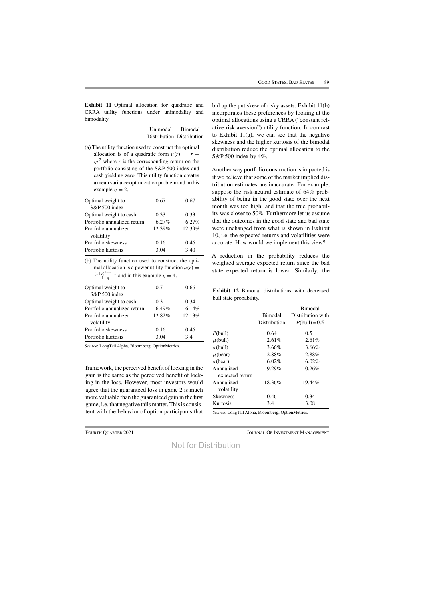**Exhibit 11** Optimal allocation for quadratic and CRRA utility functions under unimodality and bimodality.

| Unimodal Bimodal          |  |
|---------------------------|--|
| Distribution Distribution |  |

(a) The utility function used to construct the optimal allocation is of a quadratic form  $u(r) = r \eta r^2$  where r is the corresponding return on the portfolio consisting of the S&P 500 index and cash yielding zero. This utility function creates amean variance optimization problemand in this example  $n = 2$ .

| Optimal weight to           | 0.67     | 0.67     |
|-----------------------------|----------|----------|
| S&P 500 index               |          |          |
| Optimal weight to cash      | 0.33     | 0.33     |
| Portfolio annualized return | $6.27\%$ | $6.27\%$ |
| Portfolio annualized        | 12.39%   | 12.39%   |
| volatility                  |          |          |
| Portfolio skewness          | 0.16     | $-0.46$  |
| Portfolio kurtosis          | 3.04     | 3.40     |
|                             |          |          |

(b) The utility function used to construct the optimal allocation is a power utility function  $u(r)$  =  $\frac{(r)^{1-\eta}-1}{1-\eta}$  and in this example  $\eta = 4$ .

| Optimal weight to           | 0.7    | 0.66    |
|-----------------------------|--------|---------|
| S&P 500 index               |        |         |
| Optimal weight to cash      | 0.3    | 0.34    |
| Portfolio annualized return | 6.49%  | 6.14\%  |
| Portfolio annualized        | 12.82% | 12.13%  |
| volatility                  |        |         |
| Portfolio skewness          | 0.16   | $-0.46$ |
| Portfolio kurtosis          | 3.04   | 34      |

*Source*: LongTail Alpha, Bloomberg, OptionMetrics.

framework, the perceived benefit of locking in the gain is the same as the perceived benefit of locking in the loss. However, most investors would agree that the guaranteed loss in game 2 is much more valuable than the guaranteed gain in the first game, i.e. that negative tailsmatter. Thisis consistent with the behavior of option participants that bid up the put skew of risky assets. Exhibit 11(b) incorporates these preferences by looking at the optimal allocations using a CRRA ("constant relative risk aversion") utility function. In contrast to Exhibit  $11(a)$ , we can see that the negative skewness and the higher kurtosis of the bimodal distribution reduce the optimal allocation to the S&P 500 index by 4%.

Another way portfolio construction is impacted is if we believe that some of the market implied distribution estimates are inaccurate. For example, suppose the risk-neutral estimate of 64% probability of being in the good state over the next month was too high, and that the true probability was closer to 50%. Furthermore let us assume that the outcomes in the good state and bad state were unchanged from what is shown in Exhibit 10, i.e. the expected returns and volatilities were accurate. How would we implement this view?

A reduction in the probability reduces the weighted average expected return since the bad state expected return is lower. Similarly, the

**Exhibit 12** Bimodal distributions with decreased bull state probability.

|                               | <b>Bimodal</b><br>Distribution | <b>Bimodal</b><br>Distribution with<br>$P(bull) = 0.5$ |
|-------------------------------|--------------------------------|--------------------------------------------------------|
| P(bull)                       | 0.64                           | 0.5                                                    |
| $\mu$ (bull)                  | $2.61\%$                       | $2.61\%$                                               |
| $\sigma$ (bull)               | $3.66\%$                       | 3.66%                                                  |
| $\mu$ (bear)                  | $-2.88%$                       | $-2.88\%$                                              |
| $\sigma$ (bear)               | $6.02\%$                       | $6.02\%$                                               |
| Annualized<br>expected return | $9.29\%$                       | 0.26%                                                  |
| Annualized<br>volatility      | 18.36%                         | 19.44%                                                 |
| Skewness                      | -0.46                          | $-0.34$                                                |
| Kurtosis                      | 3.4                            | 3.08                                                   |

*Source*: LongTail Alpha, Bloomberg, OptionMetrics.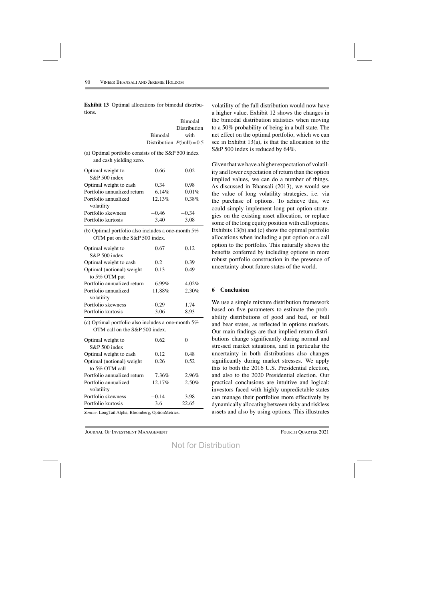|                                                                                     | Bimodal | <b>Bimodal</b><br>Distribution<br>with |
|-------------------------------------------------------------------------------------|---------|----------------------------------------|
|                                                                                     |         | Distribution $P_{\text{[bull]}} = 0.5$ |
| (a) Optimal portfolio consists of the S&P 500 index<br>and cash yielding zero.      |         |                                        |
| Optimal weight to<br>S&P 500 index                                                  | 0.66    | 0.02                                   |
| Optimal weight to cash                                                              | 0.34    | 0.98                                   |
| Portfolio annualized return                                                         | 6.14%   | 0.01%                                  |
| Portfolio annualized<br>volatility                                                  | 12.13%  | 0.38%                                  |
| Portfolio skewness                                                                  | $-0.46$ | $-0.34$                                |
| Portfolio kurtosis                                                                  | 3.40    | 3.08                                   |
| (b) Optimal portfolio also includes a one-month 5%<br>OTM put on the S&P 500 index. |         |                                        |
| Optimal weight to<br>$S\&P 500$ index                                               | 0.67    | 0.12                                   |
| Optimal weight to cash                                                              | 0.2     | 0.39                                   |
| Optimal (notional) weight<br>to 5% OTM put                                          | 0.13    | 0.49                                   |
| Portfolio annualized return                                                         | 6.99%   | 4.02%                                  |
| Portfolio annualized<br>volatility                                                  | 11.88%  | 2.30%                                  |
| Portfolio skewness                                                                  | -0.29   | 1.74                                   |
| Portfolio kurtosis                                                                  | 3.06    | 8.93                                   |
|                                                                                     |         |                                        |

**Exhibit 13** Optimal allocations for bimodal distributions.

(c) Optimal portfolio also includes a one-month 5% OTM call on the S&P 500 index.

| Optimal weight to           | 0.62    |       |
|-----------------------------|---------|-------|
| S&P 500 index               |         |       |
| Optimal weight to cash      | 0.12    | 0.48  |
| Optimal (notional) weight   | 0.26    | 0.52  |
| to 5% OTM call              |         |       |
| Portfolio annualized return | 7.36%   | 2.96% |
| Portfolio annualized        | 12.17%  | 2.50% |
| volatility                  |         |       |
| Portfolio skewness          | $-0.14$ | 3.98  |
| Portfolio kurtosis          | 3.6     | 22.65 |

*Source*: LongTail Alpha, Bloomberg, OptionMetrics.

volatility of the full distribution would now have a higher value. Exhibit 12 shows the changes in the bimodal distribution statistics when moving to a 50% probability of being in a bull state. The net effect on the optimal portfolio, which we can see in Exhibit 13(a), is that the allocation to the S&P 500 index is reduced by 64%.

Given that we have a higher expectation of volatility and lower expectation of return than the option implied values, we can do a number of things. As discussed in Bhansali (2013), we would see the value of long volatility strategies, i.e. via the purchase of options. To achieve this, we could simply implement long put option strategies on the existing asset allocation, or replace some of the long equity position with call options. Exhibits 13(b) and (c) show the optimal portfolio allocations when including a put option or a call option to the portfolio. This naturally shows the benefits conferred by including options in more robust portfolio construction in the presence of uncertainty about future states of the world.

#### **6 Conclusion**

We use a simple mixture distribution framework based on five parameters to estimate the probability distributions of good and bad, or bull and bear states, as reflected in options markets. Our main findings are that implied return distributions change significantly during normal and stressed market situations, and in particular the uncertainty in both distributions also changes significantly during market stresses. We apply this to both the 2016 U.S. Presidential election, and also to the 2020 Presidential election. Our practical conclusions are intuitive and logical: investors faced with highly unpredictable states can manage their portfolios more effectively by dynamically allocating between risky and riskless assets and also by using options. This illustrates